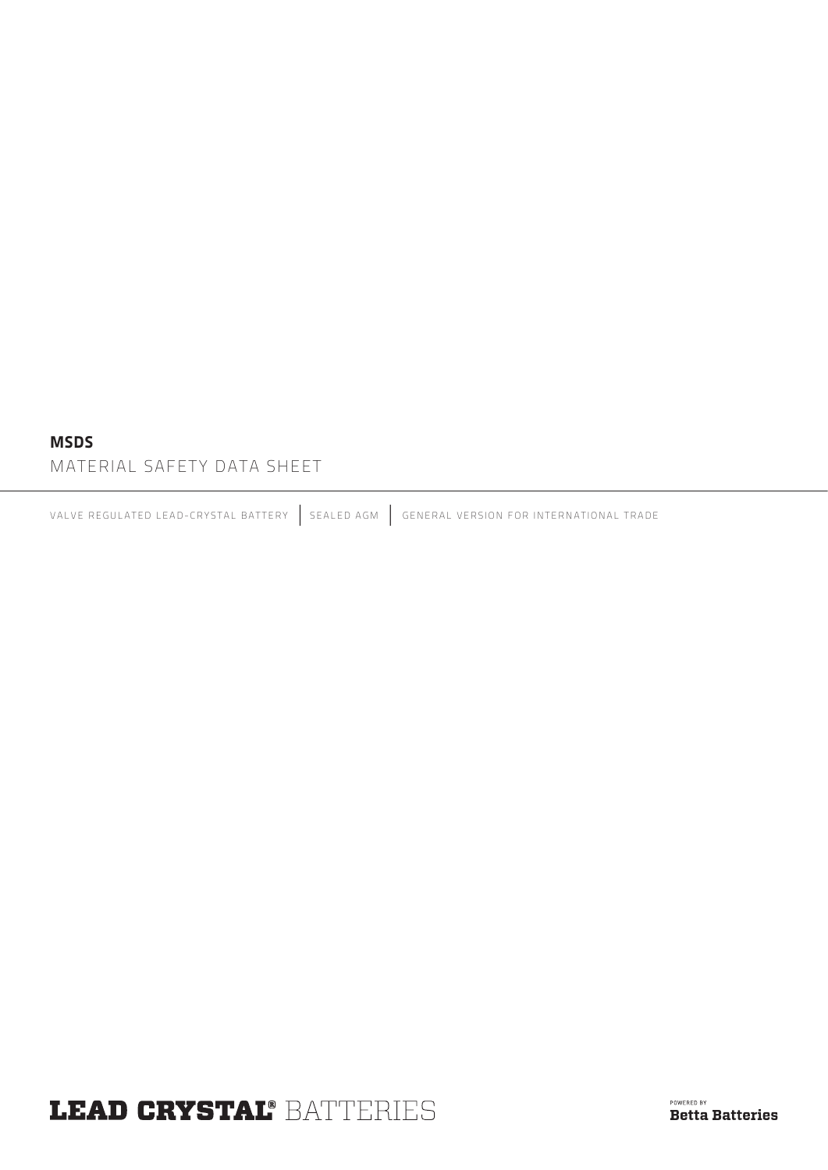#### MSDS

MATERIAL SAFETY DATA SHEET

VALVE REGULATED LEAD-CRYSTAL BATTERY | SEALED AGM | GENERAL VERSION FOR INTERNATIONAL TRADE

# **LEAD CRYSTAL® BATTERIES**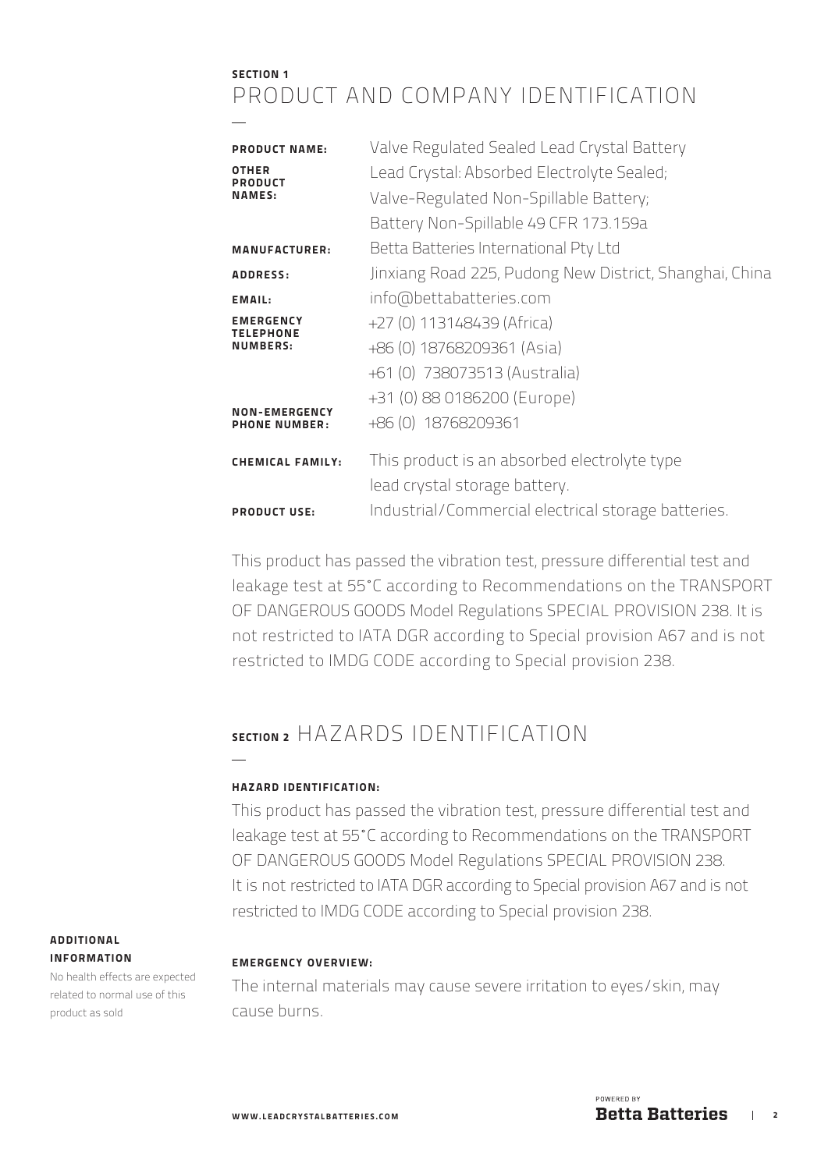### SECTION 1 PRODUCT AND COMPANY IDENTIFICATION

| <b>PRODUCT NAME:</b><br>OTHER<br><b>PRODUCT</b><br><b>NAMES:</b> | Valve Regulated Sealed Lead Crystal Battery<br>Lead Crystal: Absorbed Electrolyte Sealed;<br>Valve-Regulated Non-Spillable Battery; |
|------------------------------------------------------------------|-------------------------------------------------------------------------------------------------------------------------------------|
| <b>MANUFACTURER:</b>                                             | Battery Non-Spillable 49 CFR 173.159a<br>Betta Batteries International Pty Ltd                                                      |
| <b>ADDRESS:</b>                                                  | Jinxiang Road 225, Pudong New District, Shanghai, China                                                                             |
| EMAIL:                                                           | info@bettabatteries.com                                                                                                             |
| <b>EMERGENCY</b><br><b>TELEPHONE</b><br>NUMBERS:                 | +27 (0) 113148439 (Africa)<br>+86 (0) 18768209361 (Asia)<br>+61 (0) 738073513 (Australia)                                           |
| <b>NON-EMERGENCY</b><br><b>PHONE NUMBER:</b>                     | +31 (0) 88 0186200 (Europe)<br>+86 (0) 18768209361                                                                                  |
| <b>CHEMICAL FAMILY:</b>                                          | This product is an absorbed electrolyte type<br>lead crystal storage battery.                                                       |
| <b>PRODUCT USE:</b>                                              | Industrial/Commercial electrical storage batteries.                                                                                 |

This product has passed the vibration test, pressure differential test and leakage test at 55˚C according to Recommendations on the TRANSPORT OF DANGEROUS GOODS Model Regulations SPECIAL PROVISION 238. It is not restricted to IATA DGR according to Special provision A67 and is not restricted to IMDG CODE according to Special provision 238.

### SECTION 2 HAZARDS IDENTIFICATION

#### HAZARD IDENTIFICATION:

This product has passed the vibration test, pressure differential test and leakage test at 55˚C according to Recommendations on the TRANSPORT OF DANGEROUS GOODS Model Regulations SPECIAL PROVISION 238. It is not restricted to IATA DGR according to Special provision A67 and is not restricted to IMDG CODE according to Special provision 238.

#### EMERGENCY OVERVIEW:

The internal materials may cause severe irritation to eyes/skin, may cause burns.

#### ADDITIONAL INFORMATION

No health effects are expected related to normal use of this product as sold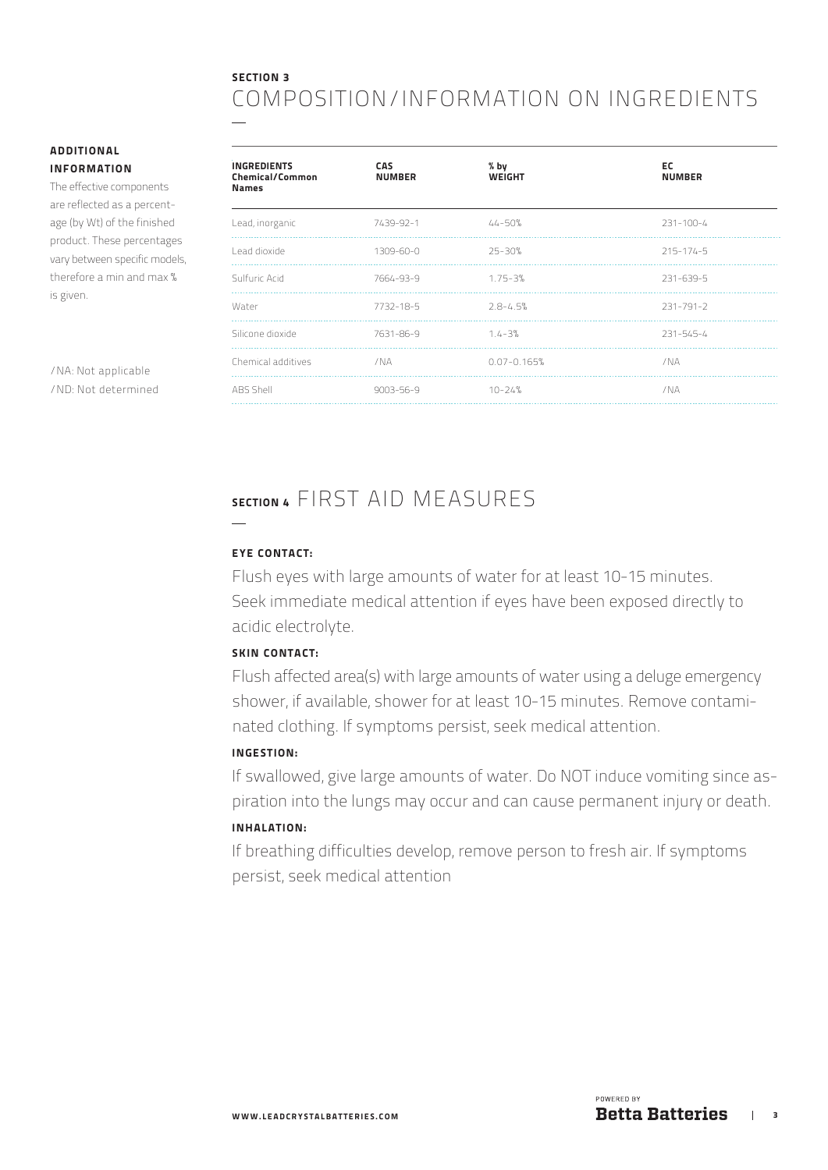### SECTION 3 COMPOSITION/INFORMATION ON INGREDIENTS

#### ADDITIONAL INFORMATION

The effective components are reflected as a percentage (by Wt) of the finished product. These percentages vary between specific models, therefore a min and max % is given.

/NA: Not applicable /ND: Not determined

| <b>INGREDIENTS</b><br><b>Chemical/Common</b><br><b>Names</b> | <b>CAS</b><br><b>NUMBER</b> | $%$ by<br><b>WEIGHT</b> | EC<br><b>NUMBER</b> |
|--------------------------------------------------------------|-----------------------------|-------------------------|---------------------|
| Lead, inorganic                                              | 7439-92-1                   | $44 - 50%$              | $231 - 100 - 4$     |
| Lead dioxide                                                 | 1309-60-0                   | 25-30%                  | $215 - 174 - 5$     |
| Sulfuric Acid                                                | 7664-93-9                   | $1.75 - 3%$             | 231-639-5           |
| Water                                                        | 7732-18-5                   | $2.8 - 4.5%$            | 231-791-2           |
| Silicone dioxide                                             | 7631-86-9                   | $1.4 - 3%$              | 231-545-4           |
| Chemical additives                                           | /NA                         | $0.07 - 0.165%$         | /NA                 |
| ABS Shell                                                    | 9003-56-9                   | $10 - 24%$              | /NA                 |

## SECTION 4 FIRST AID MEASURES

#### EYE CONTACT:

 $\overline{\phantom{a}}$ 

Flush eyes with large amounts of water for at least 10-15 minutes. Seek immediate medical attention if eyes have been exposed directly to acidic electrolyte.

#### SKIN CONTACT:

Flush affected area(s) with large amounts of water using a deluge emergency shower, if available, shower for at least 10-15 minutes. Remove contaminated clothing. If symptoms persist, seek medical attention.

#### INGESTION:

If swallowed, give large amounts of water. Do NOT induce vomiting since aspiration into the lungs may occur and can cause permanent injury or death.

#### INHALATION:

If breathing difficulties develop, remove person to fresh air. If symptoms persist, seek medical attention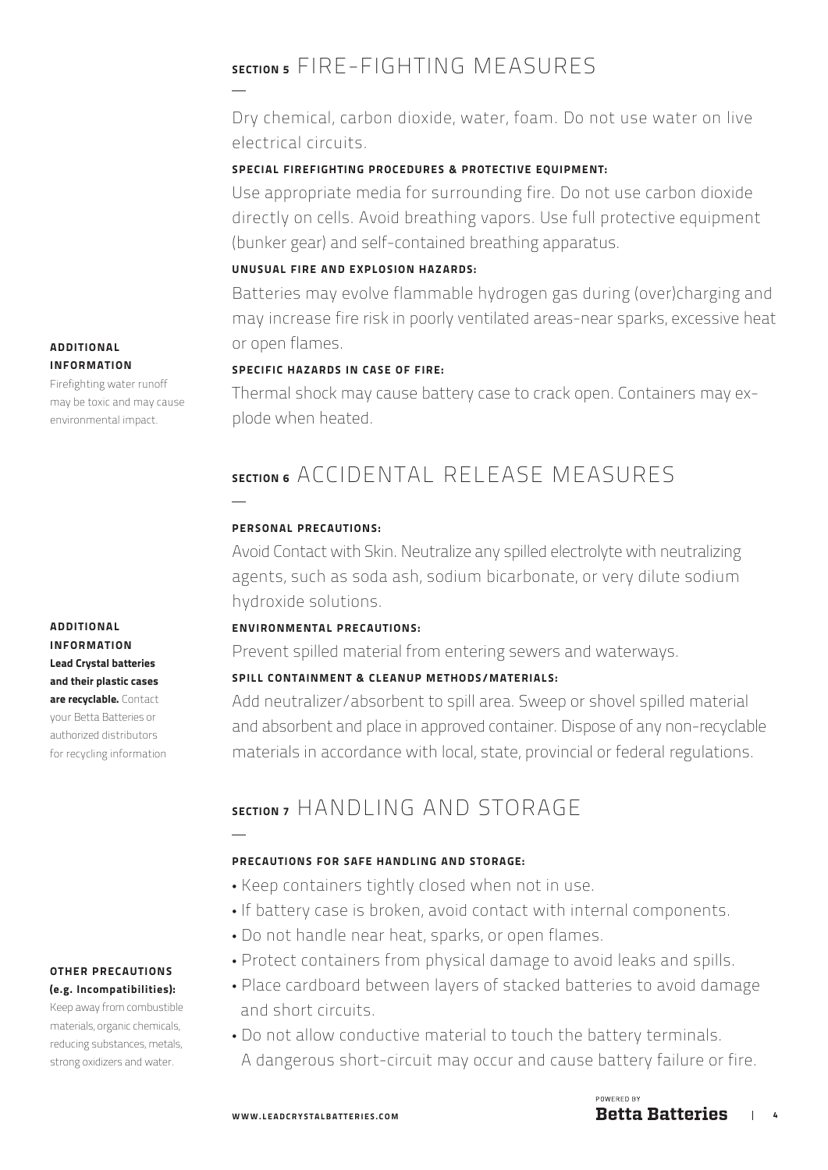## SECTION 5 FIRE-FIGHTING MEASURES

Dry chemical, carbon dioxide, water, foam. Do not use water on live electrical circuits.

#### SPECIAL FIREFIGHTING PROCEDURES & PROTECTIVE EOUIPMENT:

Use appropriate media for surrounding fire. Do not use carbon dioxide directly on cells. Avoid breathing vapors. Use full protective equipment (bunker gear) and self-contained breathing apparatus.

#### UNUSUAL FIRE AND EXPLOSION HAZARDS:

Batteries may evolve flammable hydrogen gas during (over)charging and may increase fire risk in poorly ventilated areas-near sparks, excessive heat or open flames.

#### SPECIFIC HAZARDS IN CASE OF FIRE:

Thermal shock may cause battery case to crack open. Containers may explode when heated.

## SECTION 6 ACCIDENTAL RELEASE MEASURES

#### PERSONAL PRECAUTIONS:

Avoid Contact with Skin. Neutralize any spilled electrolyte with neutralizing agents, such as soda ash, sodium bicarbonate, or very dilute sodium hydroxide solutions.

#### ENVIRONMENTAL PRECAUTIONS:

Prevent spilled material from entering sewers and waterways.

#### SPILL CONTAINMENT & CLEANUP METHODS/MATERIALS:

Add neutralizer/absorbent to spill area. Sweep or shovel spilled material and absorbent and place in approved container. Dispose of any non-recyclable materials in accordance with local, state, provincial or federal regulations.

## SECTION 7 HANDI ING AND STORAGE

#### PRECAUTIONS FOR SAFE HANDLING AND STORAGE:

- Keep containers tightly closed when not in use.
- If battery case is broken, avoid contact with internal components.
- Do not handle near heat, sparks, or open flames.
- Protect containers from physical damage to avoid leaks and spills.
- Place cardboard between layers of stacked batteries to avoid damage and short circuits.
- Do not allow conductive material to touch the battery terminals. A dangerous short-circuit may occur and cause battery failure or fire.

#### **ADDITIONAL** INFORMATION

Firefighting water runoff may be toxic and may cause environmental impact.

ADDITIONAL INFORMATION Lead Crystal batteries and their plastic cases are recyclable. Contact your Betta Batteries or authorized distributors for recycling information

#### OTHER PRECAUTIONS (e.g. Incompatibilities):

Keep away from combustible materials, organic chemicals, reducing substances, metals, strong oxidizers and water.

POWERED BY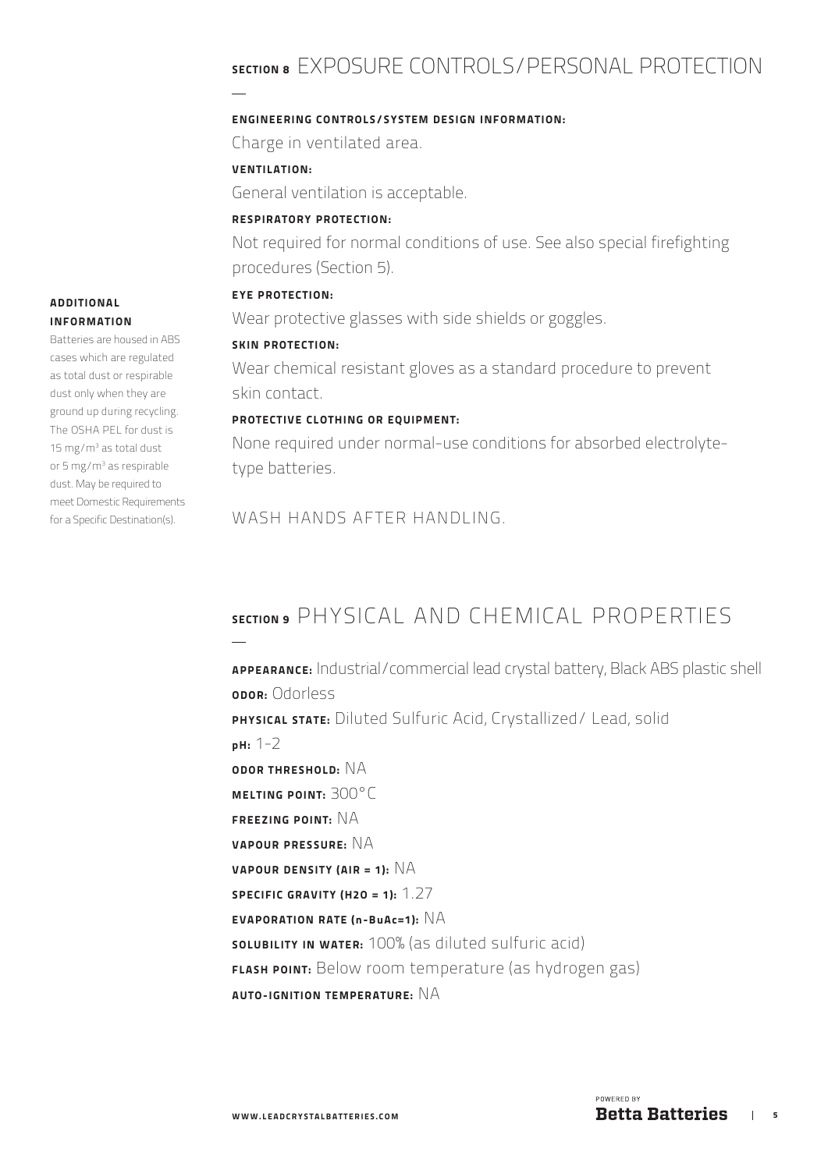## SECTION 8 EXPOSURE CONTROLS/PERSONAL PROTECTION

#### ENGINEERING CONTROLS/SYSTEM DESIGN INFORMATION:

Charge in ventilated area.

VENTILATION:

General ventilation is acceptable.

#### RESPIRATORY PROTECTION:

Not required for normal conditions of use. See also special firefighting procedures (Section 5).

#### EYE PROTECTION:

Wear protective glasses with side shields or goggles.

#### SKIN PROTECTION:

Wear chemical resistant gloves as a standard procedure to prevent skin contact.

#### PROTECTIVE CLOTHING OR EQUIPMENT:

None required under normal-use conditions for absorbed electrolytetype batteries.

WASH HANDS AFTER HANDLING.

## SECTION 9 PHYSICAL AND CHEMICAL PROPERTIES

APPEARANCE: Industrial/commercial lead crystal battery, Black ABS plastic shell opor: Odorless PHYSICAL STATE: Diluted Sulfuric Acid, Crystallized/ Lead, solid pH: 1-2 ODOR THRESHOLD: NA MELTING POINT: 300°C FREEZING POINT: NA VAPOUR PRESSURE: NA VAPOUR DENSITY (AIR = 1):  $NA$ SPECIFIC GRAVITY (H2O = 1):  $1.27$ EVAPORATION RATE (n-BuAc=1):  $NA$ SOLUBILITY IN WATER: 100% (as diluted sulfuric acid) FLASH POINT: Below room temperature (as hydrogen gas) AUTO-IGNITION TEMPERATURE:  $NA$ 

#### ADDITIONAL INFORMATION

Batteries are housed in ABS cases which are regulated as total dust or respirable dust only when they are ground up during recycling. The OSHA PEL for dust is 15 mg/m<sup>3</sup> as total dust or 5 mg/m<sup>3</sup> as respirable dust. May be required to meet Domestic Requirements for a Specific Destination(s).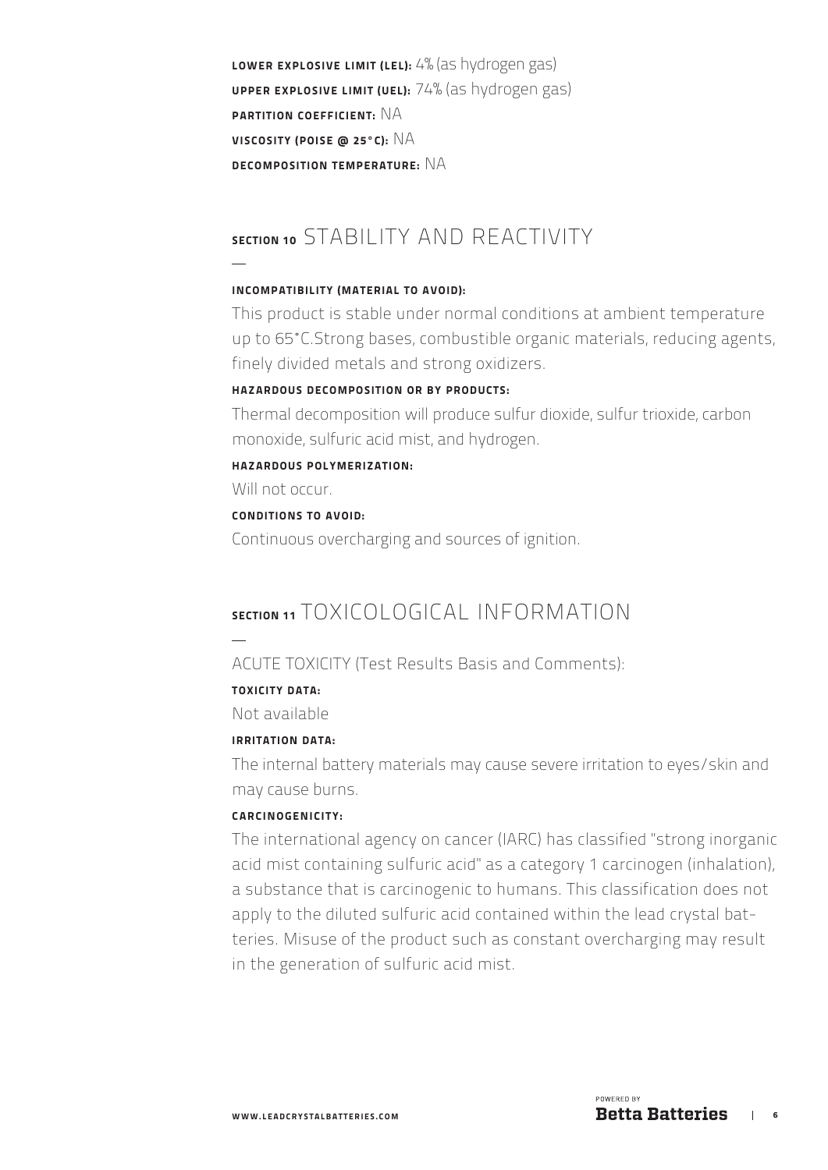LOWER EXPLOSIVE LIMIT (LEL): 4% (as hydrogen gas) UPPER EXPLOSIVE LIMIT (UEL): 74% (as hydrogen gas) PARTITION COEFFICIENT: NA VISCOSITY (POISE @ 25°C): NA DECOMPOSITION TEMPERATURE: NA

### SECTION 10 STABILITY AND REACTIVITY

#### INCOMPATIBILITY (MATERIAL TO AVOID):

This product is stable under normal conditions at ambient temperature up to 65˚C.Strong bases, combustible organic materials, reducing agents, finely divided metals and strong oxidizers.

#### HAZARDOUS DECOMPOSITION OR BY PRODUCTS:

Thermal decomposition will produce sulfur dioxide, sulfur trioxide, carbon monoxide, sulfuric acid mist, and hydrogen.

#### HAZARDOUS POLYMERIZATION:

Will not occur

#### CONDITIONS TO AVOID:

Continuous overcharging and sources of ignition.

### SECTION 11 TOXICOLOGICAL INFORMATION

#### ACUTE TOXICITY (Test Results Basis and Comments):

#### TOXICITY DATA:

Not available

#### IRRITATION DATA:

The internal battery materials may cause severe irritation to eyes/skin and may cause burns.

#### CARCINOGENICITY:

The international agency on cancer (IARC) has classified "strong inorganic acid mist containing sulfuric acid" as a category 1 carcinogen (inhalation), a substance that is carcinogenic to humans. This classification does not apply to the diluted sulfuric acid contained within the lead crystal batteries. Misuse of the product such as constant overcharging may result in the generation of sulfuric acid mist.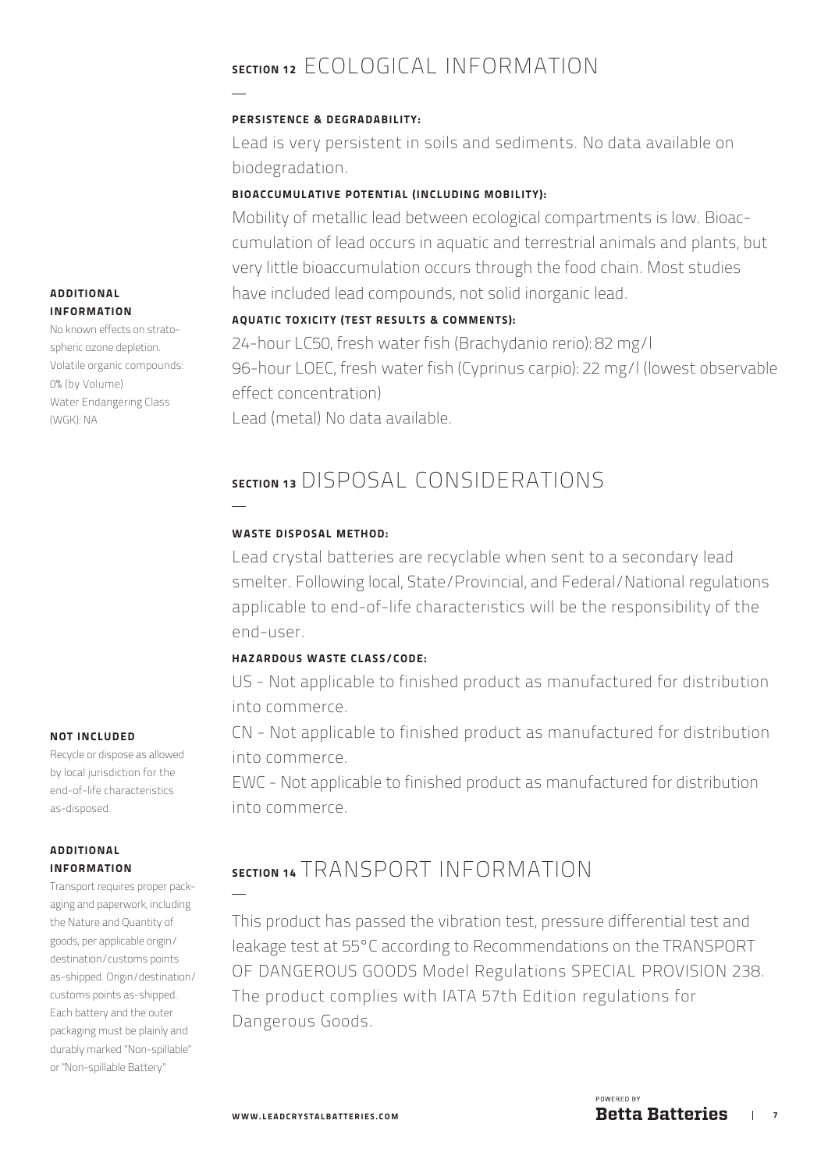## SECTION 12 FCOLOGICAL INFORMATION

#### PERSISTENCE & DEGRADABILITY:

Lead is very persistent in soils and sediments. No data available on biodegradation.

#### BIOACCUMULATIVE POTENTIAL (INCLUDING MOBILITY):

Mobility of metallic lead between ecological compartments is low. Bioaccumulation of lead occurs in aquatic and terrestrial animals and plants, but very little bioaccumulation occurs through the food chain. Most studies have included lead compounds, not solid inorganic lead.

#### AQUATIC TOXICITY (TEST RESULTS & COMMENTS):

24-hour LC50, fresh water fish (Brachydanio rerio): 82 mg/l 96-hour LOEC, fresh water fish (Cyprinus carpio): 22 mg/l (lowest observable effect concentration) Lead (metal) No data available.

### SECTION 13 DISPOSAL CONSIDERATIONS

#### WASTE DISPOSAL METHOD:

Lead crystal batteries are recyclable when sent to a secondary lead smelter. Following local, State/Provincial, and Federal/National regulations applicable to end-of-life characteristics will be the responsibility of the end-user.

#### HAZARDOUS WASTE CLASS/CODE:

US - Not applicable to finished product as manufactured for distribution into commerce.

CN - Not applicable to finished product as manufactured for distribution into commerce.

EWC - Not applicable to finished product as manufactured for distribution into commerce.

### SECTION 14 TRANSPORT INFORMATION

This product has passed the vibration test, pressure differential test and leakage test at 55°C according to Recommendations on the TRANSPORT OF DANGEROUS GOODS Model Regulations SPECIAL PROVISION 238. The product complies with IATA 57th Edition regulations for Dangerous Goods.

#### NOT INCLUDED

Recycle or dispose as allowed by local jurisdiction for the end-of-life characteristics as-disposed.

#### ADDITIONAL INFORMATION

Transport requires proper packaging and paperwork, including the Nature and Quantity of goods, per applicable origin/ destination/customs points as-shipped. Origin/destination/ customs points as-shipped. Each battery and the outer packaging must be plainly and durably marked "Non-spillable" or "Non-spillable Battery"

#### ADDITIONAL INFORMATION

No known effects on stratospheric ozone depletion. Volatile organic compounds: 0% (by Volume) Water Endangering Class (WGK): NA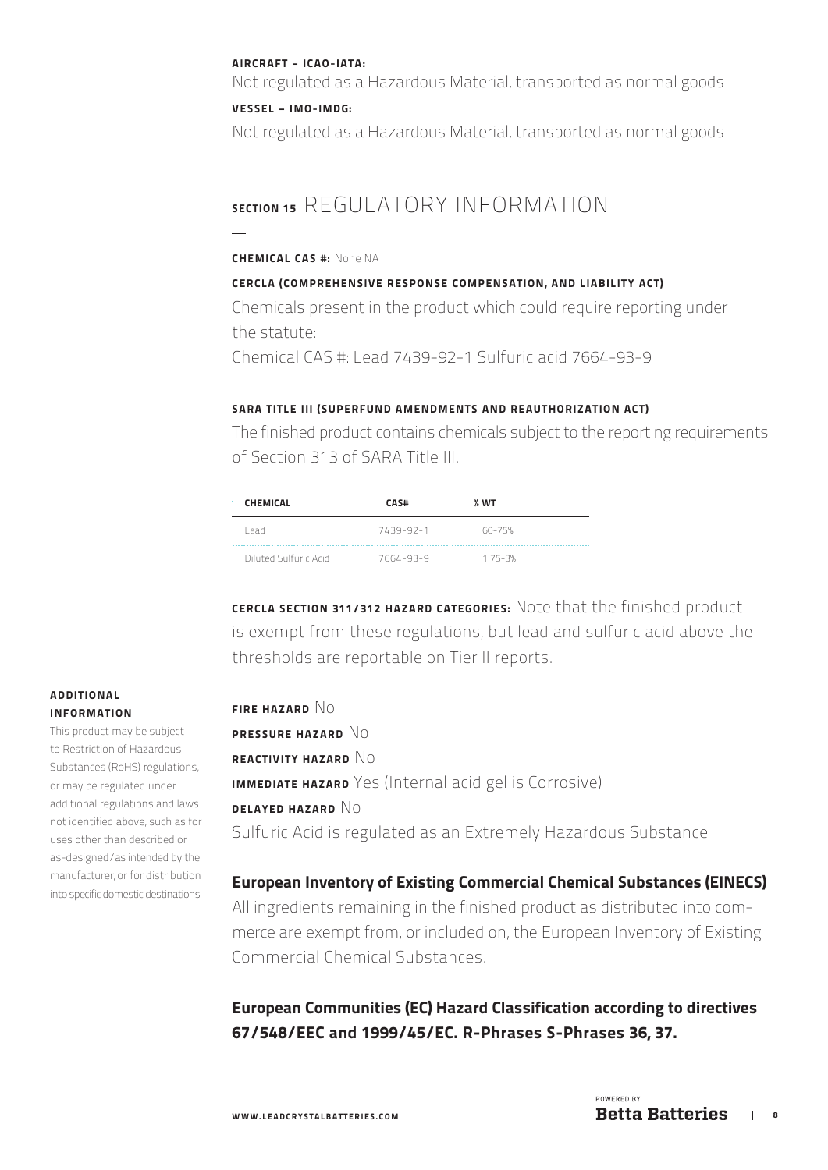#### AIRCRAFT - ICAO-IATA:

Not regulated as a Hazardous Material, transported as normal goods

#### VESSEL - IMO-IMDG:

Not regulated as a Hazardous Material, transported as normal goods

### SECTION 15 REGULATORY INFORMATION

#### CHEMICAL CAS #: None NA

#### CERCLA (COMPREHENSIVE RESPONSE COMPENSATION, AND LIABILITY ACT)

Chemicals present in the product which could require reporting under the statute:

Chemical CAS #: Lead 7439-92-1 Sulfuric acid 7664-93-9

#### SARA TITLE III (SUPERFUND AMENDMENTS AND REAUTHORIZATION ACT)

The finished product contains chemicals subject to the reporting requirements of Section 313 of SARA Title III.

| <b>CHEMICAL</b>       | <b>CAS#</b> | % WT        |
|-----------------------|-------------|-------------|
| l ead.                | 7439-92-1   | 60-75%      |
| Diluted Sulfuric Acid | 7664-93-9   | $1.75 - 3%$ |

CERCLA SECTION 311/312 HAZARD CATEGORIES: Note that the finished product is exempt from these regulations, but lead and sulfuric acid above the thresholds are reportable on Tier II reports.

#### FIRE HAZARD NO

PRESSURE HAZARD NO REACTIVITY HAZARD  $No$ IMMEDIATE HAZARD Yes (Internal acid gel is Corrosive) DELAYED HAZARD NO Sulfuric Acid is regulated as an Extremely Hazardous Substance

#### European Inventory of Existing Commercial Chemical Substances (EINECS)

All ingredients remaining in the finished product as distributed into commerce are exempt from, or included on, the European Inventory of Existing Commercial Chemical Substances.

### European Communities (EC) Hazard Classification according to directives 67/548/EEC and 1999/45/EC. R-Phrases S-Phrases 36, 37.

#### ADDITIONAL INFORMATION

This product may be subject to Restriction of Hazardous Substances (RoHS) regulations, or may be regulated under additional regulations and laws not identified above, such as for uses other than described or as-designed/as intended by the manufacturer, or for distribution into specific domestic destinations.